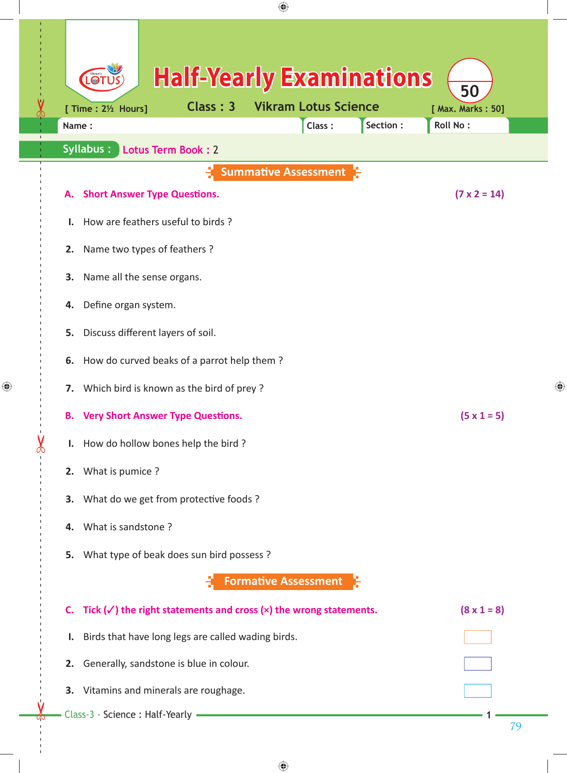| ⊕                                                                                                                                        |                                     |
|------------------------------------------------------------------------------------------------------------------------------------------|-------------------------------------|
| <b>Half-Yearly Examinations</b><br>101<br><b>Vikram Lotus Science</b><br>Class: 3<br>[ Time : 21/2 Hours]<br>Section:<br>Class:<br>Name: | 50<br>[ Max. Marks: 50]<br>Roll No: |
| <b>Syllabus:</b><br>Lotus Term Book: 2                                                                                                   |                                     |
| <b>Summative Assessment</b>                                                                                                              |                                     |
| <b>Short Answer Type Questions.</b><br>А.                                                                                                | $(7 \times 2 = 14)$                 |
| How are feathers useful to birds?                                                                                                        |                                     |
| Name two types of feathers?<br>2.                                                                                                        |                                     |
| 3.<br>Name all the sense organs.                                                                                                         |                                     |
| Define organ system.<br>4.                                                                                                               |                                     |
| Discuss different layers of soil.<br>5.                                                                                                  |                                     |
| How do curved beaks of a parrot help them?<br>6.                                                                                         |                                     |
| Which bird is known as the bird of prey?<br>7.                                                                                           | ⊕                                   |
| <b>B.</b> Very Short Answer Type Questions.                                                                                              | $(5 \times 1 = 5)$                  |
| I. How do hollow bones help the bird?                                                                                                    |                                     |
| 2. What is pumice?                                                                                                                       |                                     |
| 3. What do we get from protective foods?                                                                                                 |                                     |
| 4. What is sandstone?                                                                                                                    |                                     |
| What type of beak does sun bird possess?<br>5.                                                                                           |                                     |
| <b>Formative Assessment</b>                                                                                                              |                                     |
| C. Tick $(\checkmark)$ the right statements and cross $(x)$ the wrong statements.                                                        | $(8 \times 1 = 8)$                  |
| Birds that have long legs are called wading birds.<br>ı.                                                                                 |                                     |
| 2. Generally, sandstone is blue in colour.                                                                                               |                                     |
| 3. Vitamins and minerals are roughage.                                                                                                   |                                     |
| Class-3 - Science : Half-Yearly ·                                                                                                        | 79                                  |
|                                                                                                                                          |                                     |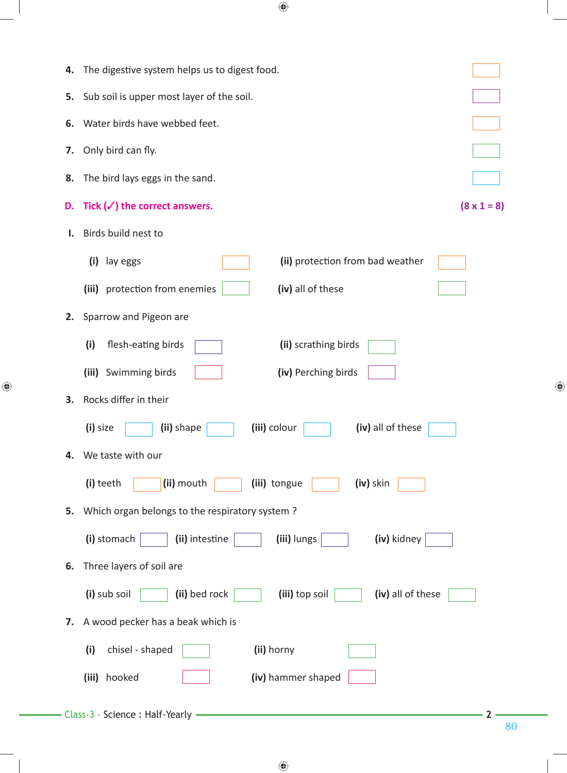| 4. | The digestive system helps us to digest food.                        |  |  |  |  |
|----|----------------------------------------------------------------------|--|--|--|--|
| 5. | Sub soil is upper most layer of the soil.                            |  |  |  |  |
| 6. | Water birds have webbed feet.                                        |  |  |  |  |
| 7. | Only bird can fly.                                                   |  |  |  |  |
| 8. | The bird lays eggs in the sand.                                      |  |  |  |  |
| D. | Tick $(\checkmark)$ the correct answers.<br>$(8 \times 1 = 8)$       |  |  |  |  |
| Ι. | Birds build nest to                                                  |  |  |  |  |
|    | (ii) protection from bad weather<br>(i)<br>lay eggs                  |  |  |  |  |
|    | (iii) protection from enemies<br>(iv) all of these                   |  |  |  |  |
| 2. | Sparrow and Pigeon are                                               |  |  |  |  |
|    | (i)<br>flesh-eating birds<br>(ii) scrathing birds                    |  |  |  |  |
|    | (iii) Swimming birds<br>(iv) Perching birds                          |  |  |  |  |
| 3. | Rocks differ in their                                                |  |  |  |  |
|    | (i) size<br>(iii) colour<br>(iv) all of these<br>(ii) shape          |  |  |  |  |
| 4. | We taste with our                                                    |  |  |  |  |
|    | (i) teeth<br>(ii) mouth<br>(iii) tongue<br>(iv) skin                 |  |  |  |  |
| 5. | Which organ belongs to the respiratory system?                       |  |  |  |  |
|    | (i) stomach<br>(ii) intestine<br>(iii) lungs<br>(iv) kidney          |  |  |  |  |
| 6. | Three layers of soil are                                             |  |  |  |  |
|    | (i) sub soil<br>(ii) bed rock<br>(iii) top soil<br>(iv) all of these |  |  |  |  |
| 7. | A wood pecker has a beak which is                                    |  |  |  |  |
|    | (i)<br>chisel - shaped<br>(ii) horny                                 |  |  |  |  |
|    | hooked<br>(iv) hammer shaped<br>(iii)                                |  |  |  |  |
|    | - Class-3 - Science : Half-Yearly                                    |  |  |  |  |
|    | 80                                                                   |  |  |  |  |

 $\bigoplus$ 

 $\bigoplus$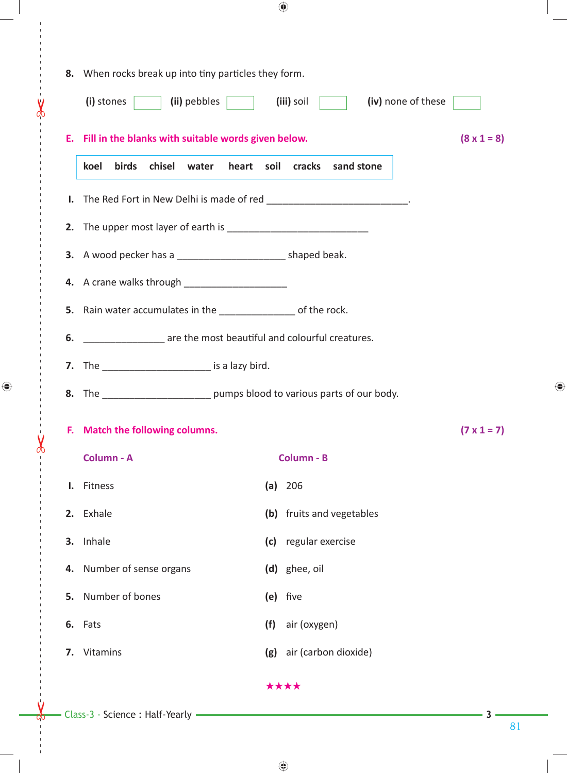|                                                                     | 8. When rocks break up into tiny particles they form. |                                                                             |                    |
|---------------------------------------------------------------------|-------------------------------------------------------|-----------------------------------------------------------------------------|--------------------|
| (i) stones<br>(ii) pebbles                                          |                                                       | (iii) soil<br>(iv) none of these                                            |                    |
| E. Fill in the blanks with suitable words given below.              |                                                       |                                                                             | $(8 \times 1 = 8)$ |
| <b>birds</b><br>chisel<br>koel                                      | water<br>heart<br>soil                                | cracks<br>sand stone                                                        |                    |
| Ι.                                                                  |                                                       | The Red Fort in New Delhi is made of red _____________________________.     |                    |
|                                                                     |                                                       |                                                                             |                    |
| 3. A wood pecker has a _______________________________ shaped beak. |                                                       |                                                                             |                    |
| 4. A crane walks through ________________________                   |                                                       |                                                                             |                    |
| 5. Rain water accumulates in the __________________ of the rock.    |                                                       |                                                                             |                    |
| are the most beautiful and colourful creatures.<br>6.               |                                                       |                                                                             |                    |
| 7. The ___________________________ is a lazy bird.                  |                                                       |                                                                             |                    |
|                                                                     |                                                       | 8. The __________________________ pumps blood to various parts of our body. |                    |
| F. Match the following columns.                                     |                                                       |                                                                             | $(7 \times 1 = 7)$ |
| Column - A                                                          |                                                       | Column - B                                                                  |                    |
| I. Fitness                                                          |                                                       | (a) 206                                                                     |                    |
| 2. Exhale                                                           |                                                       | (b) fruits and vegetables                                                   |                    |
| 3. Inhale                                                           |                                                       | (c) regular exercise                                                        |                    |
| 4. Number of sense organs                                           |                                                       | (d) ghee, oil                                                               |                    |
| 5. Number of bones                                                  |                                                       | (e) five                                                                    |                    |
| 6. Fats                                                             | (f)                                                   | air (oxygen)                                                                |                    |
| 7. Vitamins                                                         |                                                       | (g) air (carbon dioxide)                                                    |                    |
|                                                                     |                                                       | ****                                                                        |                    |

 $\bigoplus$ 

 $\leftarrow$ 

 $\chi$ 

 $\bigoplus$ 

 $\overset{^{\prime}}{\mathsf{v}}$